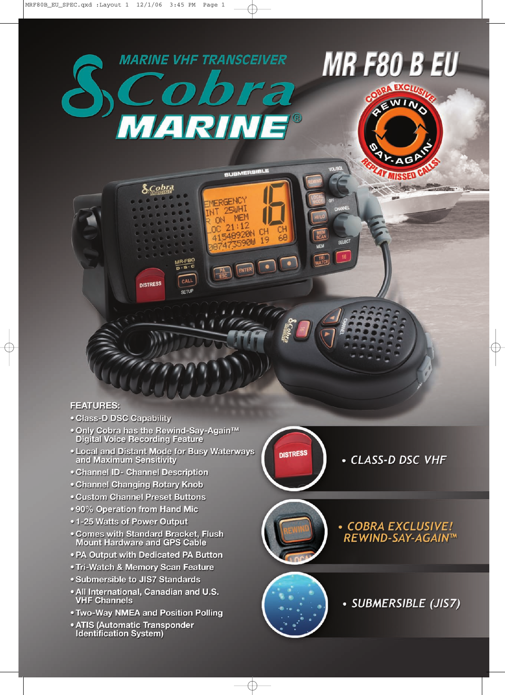

**SUBMERSIBLE** 

ERGENC **25WH1** MEM

> $21:12$ 548920N

≂aйlıl

ENTER

 $\bullet$ 

nN

41

 $MR-F80$ 

CALL

**SETUP** 

## **FEATURES:**

- . Class-D DSC Capability
- Only Cobra has the Rewind-Say-Again™<br>Digital Voice Recording Feature

 $\delta$ Cobra

**DISTRESS** 

- Local and Distant Mode for Busy Waterways<br>and Maximum Sensitivity
- **Channel ID- Channel Description**
- Channel Changing Rotary Knob
- **Custom Channel Preset Buttons**
- . 90% Operation from Hand Mic
- 1-25 Watts of Power Output
- Comes with Standard Bracket, Flush<br>Mount Hardware and GPS Cable
- . PA Output with Dedicated PA Button
- . Tri-Watch & Memory Scan Feature
- **Submersible to JIS7 Standards**
- . All International, Canadian and U.S. **VHF Channels**
- . Two-Way NMEA and Position Polling
- ATIS (Automatic Transponder **Identification System)**

**DISTRESS** 



· COBRA EXCLUSIVE!

REWIND-SAY-AGAIN™

WIN

**SFLECT** 



· SUBMERSIBLE (JIS7)